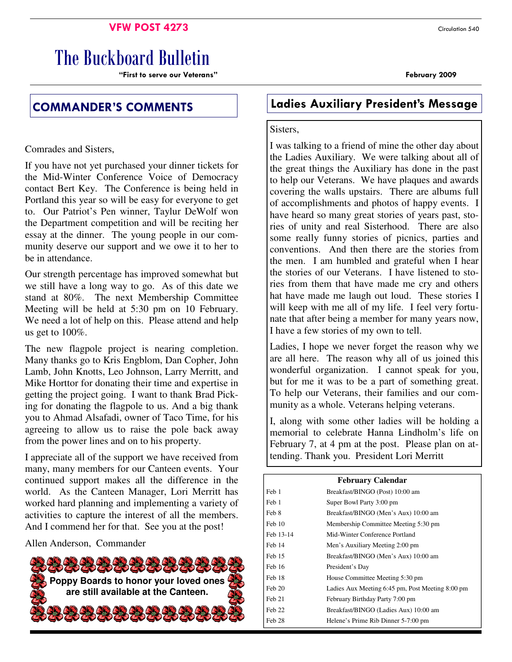### **VFW POST 4273** Circulation 540

# The Buckboard Bulletin

"First to serve our Veterans" February 2009

Comrades and Sisters,

If you have not yet purchased your dinner tickets for the Mid-Winter Conference Voice of Democracy contact Bert Key. The Conference is being held in Portland this year so will be easy for everyone to get to. Our Patriot's Pen winner, Taylur DeWolf won the Department competition and will be reciting her essay at the dinner. The young people in our community deserve our support and we owe it to her to be in attendance.

Our strength percentage has improved somewhat but we still have a long way to go. As of this date we stand at 80%. The next Membership Committee Meeting will be held at 5:30 pm on 10 February. We need a lot of help on this. Please attend and help us get to 100%.

The new flagpole project is nearing completion. Many thanks go to Kris Engblom, Dan Copher, John Lamb, John Knotts, Leo Johnson, Larry Merritt, and Mike Horttor for donating their time and expertise in getting the project going. I want to thank Brad Picking for donating the flagpole to us. And a big thank you to Ahmad Alsafadi, owner of Taco Time, for his agreeing to allow us to raise the pole back away from the power lines and on to his property.

I appreciate all of the support we have received from many, many members for our Canteen events. Your continued support makes all the difference in the world. As the Canteen Manager, Lori Merritt has worked hard planning and implementing a variety of activities to capture the interest of all the members. And I commend her for that. See you at the post!

Allen Anderson, Commander



## COMMANDER'S COMMENTS Ladies Auxiliary President's Message

### Sisters,

I was talking to a friend of mine the other day about the Ladies Auxiliary. We were talking about all of the great things the Auxiliary has done in the past to help our Veterans. We have plaques and awards covering the walls upstairs. There are albums full of accomplishments and photos of happy events. I have heard so many great stories of years past, stories of unity and real Sisterhood. There are also some really funny stories of picnics, parties and conventions. And then there are the stories from the men. I am humbled and grateful when I hear the stories of our Veterans. I have listened to stories from them that have made me cry and others hat have made me laugh out loud. These stories I will keep with me all of my life. I feel very fortunate that after being a member for many years now, I have a few stories of my own to tell.

Ladies, I hope we never forget the reason why we are all here. The reason why all of us joined this wonderful organization. I cannot speak for you, but for me it was to be a part of something great. To help our Veterans, their families and our community as a whole. Veterans helping veterans.

I, along with some other ladies will be holding a memorial to celebrate Hanna Lindholm's life on February 7, at 4 pm at the post. Please plan on attending. Thank you. President Lori Merritt

| <b>February Calendar</b> |                                                  |  |  |
|--------------------------|--------------------------------------------------|--|--|
| Feb 1                    | Breakfast/BINGO (Post) 10:00 am                  |  |  |
| Feb 1                    | Super Bowl Party 3:00 pm                         |  |  |
| Feb 8                    | Breakfast/BINGO (Men's Aux) 10:00 am             |  |  |
| Feh 10                   | Membership Committee Meeting 5:30 pm             |  |  |
| Feb 13-14                | Mid-Winter Conference Portland                   |  |  |
| Feb 14                   | Men's Auxiliary Meeting 2:00 pm                  |  |  |
| Feb 15                   | Breakfast/BINGO (Men's Aux) 10:00 am             |  |  |
| Feb 16                   | President's Day                                  |  |  |
| Feb 18                   | House Committee Meeting 5:30 pm                  |  |  |
| Feb 20                   | Ladies Aux Meeting 6:45 pm, Post Meeting 8:00 pm |  |  |
| Feb 21                   | February Birthday Party 7:00 pm                  |  |  |
| Feb 22                   | Breakfast/BINGO (Ladies Aux) 10:00 am            |  |  |
| Feb 28                   | Helene's Prime Rib Dinner 5-7:00 pm              |  |  |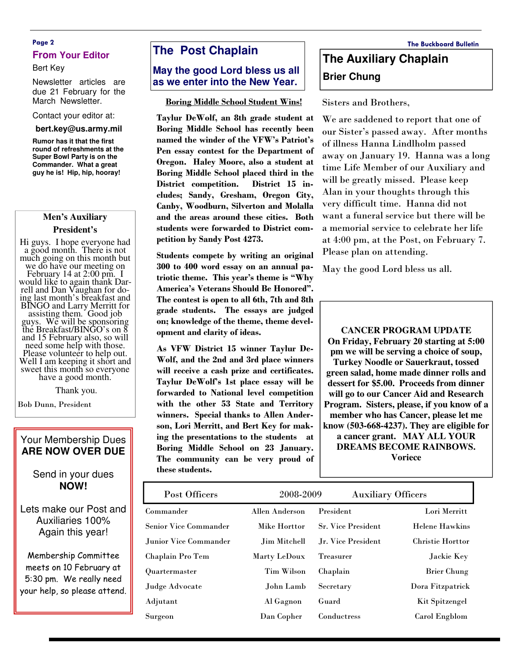### Page 2 The Buckboard Bulletin **From Your Editor**

#### Bert Key

Newsletter articles are due 21 February for the March Newsletter.

#### Contact your editor at:

#### **bert.key@us.army.mil**

**Rumor has it that the first round of refreshments at the Super Bowl Party is on the Commander. What a great guy he is! Hip, hip, hooray!** 

#### **Men's Auxiliary**

#### **President's**

Hi guys. I hope everyone had a good month. There is not much going on this month but we do have our meeting on February 14 at 2:00 pm. I would like to again thank Darrell and Dan Vaughan for doing last month's breakfast and BINGO and Larry Merritt for assisting them. Good job guys. We will be sponsoring the Breakfast/BINGO's on 8 and 15 February also, so will need some help with those. Please volunteer to help out. Well I am keeping it short and sweet this month so everyone have a good month.

Thank you.

Bob Dunn, President

### Your Membership Dues **ARE NOW OVER DUE**

### Send in your dues **NOW!**

Lets make our Post and Auxiliaries 100% Again this year!

Membership Committee meets on 10 February at 5:30 pm. We really need your help, so please attend.

### **The Post Chaplain**

### **May the good Lord bless us all as we enter into the New Year.**

#### Boring Middle School Student Wins!

Taylur DeWolf, an 8th grade student at Boring Middle School has recently been named the winder of the VFW's Patriot's Pen essay contest for the Department of Oregon. Haley Moore, also a student at Boring Middle School placed third in the District competition. District 15 includes; Sandy, Gresham, Oregon City, Canby, Woodburn, Silverton and Molalla and the areas around these cities. Both students were forwarded to District competition by Sandy Post 4273.

Students compete by writing an original 300 to 400 word essay on an annual patriotic theme. This year's theme is "Why America's Veterans Should Be Honored". The contest is open to all 6th, 7th and 8th grade students. The essays are judged on; knowledge of the theme, theme development and clarity of ideas.

As VFW District 15 winner Taylur De-Wolf, and the 2nd and 3rd place winners will receive a cash prize and certificates. Taylur DeWolf's 1st place essay will be forwarded to National level competition with the other 53 State and Territory winners. Special thanks to Allen Anderson, Lori Merritt, and Bert Key for making the presentations to the students at Boring Middle School on 23 January. The community can be very proud of these students.

## **The Auxiliary Chaplain Brier Chung**

Sisters and Brothers,

We are saddened to report that one of our Sister's passed away. After months of illness Hanna Lindlholm passed away on January 19. Hanna was a long time Life Member of our Auxiliary and will be greatly missed. Please keep Alan in your thoughts through this very difficult time. Hanna did not want a funeral service but there will be a memorial service to celebrate her life at 4:00 pm, at the Post, on February 7. Please plan on attending.

May the good Lord bless us all.

**CANCER PROGRAM UPDATE On Friday, February 20 starting at 5:00 pm we will be serving a choice of soup, Turkey Noodle or Sauerkraut, tossed green salad, home made dinner rolls and dessert for \$5.00. Proceeds from dinner will go to our Cancer Aid and Research Program. Sisters, please, if you know of a member who has Cancer, please let me know (503-668-4237). They are eligible for a cancer grant. MAY ALL YOUR DREAMS BECOME RAINBOWS. Voriece**

| Post Officers                | 2008-2009      | <b>Auxiliary Officers</b> |                         |
|------------------------------|----------------|---------------------------|-------------------------|
| Commander                    | Allen Anderson | President                 | Lori Merritt            |
| <b>Senior Vice Commander</b> | Mike Horttor   | <b>Sr. Vice President</b> | <b>Helene Hawkins</b>   |
| Junior Vice Commander        | Jim Mitchell   | Jr. Vice President        | <b>Christie Horttor</b> |
| Chaplain Pro Tem             | Marty LeDoux   | <b>Treasurer</b>          | Jackie Key              |
| Quartermaster                | Tim Wilson     | Chaplain                  | <b>Brier Chung</b>      |
| Judge Advocate               | John Lamb      | Secretary                 | Dora Fitzpatrick        |
| Adjutant                     | Al Gagnon      | Guard                     | <b>Kit Spitzengel</b>   |
| Surgeon                      | Dan Copher     | Conductress               | Carol Engblom           |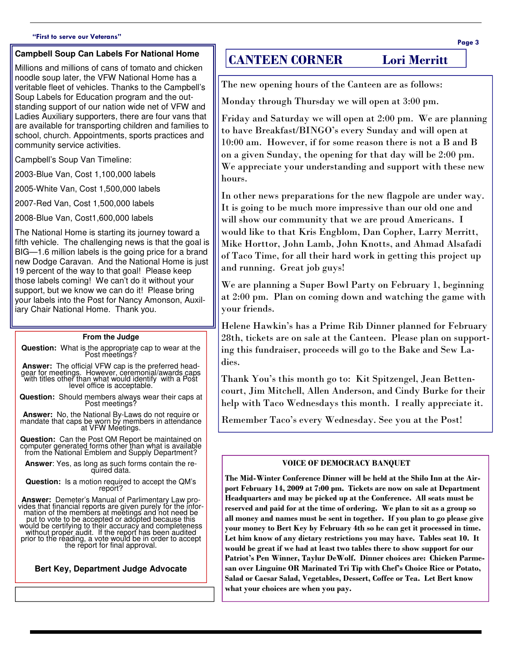#### "First to serve our Veterans"

#### **Campbell Soup Can Labels For National Home**

Millions and millions of cans of tomato and chicken noodle soup later, the VFW National Home has a veritable fleet of vehicles. Thanks to the Campbell's Soup Labels for Education program and the outstanding support of our nation wide net of VFW and Ladies Auxiliary supporters, there are four vans that are available for transporting children and families to school, church. Appointments, sports practices and community service activities.

Campbell's Soup Van Timeline:

2003-Blue Van, Cost 1,100,000 labels

2005-White Van, Cost 1,500,000 labels

2007-Red Van, Cost 1,500,000 labels

2008-Blue Van, Cost1,600,000 labels

The National Home is starting its journey toward a fifth vehicle. The challenging news is that the goal is BIG—1.6 million labels is the going price for a brand new Dodge Caravan. And the National Home is just 19 percent of the way to that goal! Please keep those labels coming! We can't do it without your support, but we know we can do it! Please bring your labels into the Post for Nancy Amonson, Auxiliary Chair National Home. Thank you.

#### **From the Judge**

**Question:** What is the appropriate cap to wear at the Post meetings?

**Answer:** The official VFW cap is the preferred headgear for meetings. However, ceremonial/awards caps with titles other than what would identify with a Post level office is acceptable.

**Question:** Should members always wear their caps at Post meetings?

**Answer:** No, the National By-Laws do not require or mandate that caps be worn by members in attendance at VFW Meetings.

**Question:** Can the Post QM Report be maintained on computer generated forms other than what is available from the National Emblem and Supply Department?

**Answer**: Yes, as long as such forms contain the required data.

**Question:** Is a motion required to accept the QM's report?

**Answer:** Demeter's Manual of Parlimentary Law pro-vides that financial reports are given purely for the infor-mation of the members at meetings and not need be put to vote to be accepted or adopted because this would be certifying to their accuracy and completeness<br>without proper audit. If the report has been audited<br>prior to the reading, a vote would be in order to accept<br>the report for final approval.

**Bert Key, Department Judge Advocate** 

### CANTEEN CORNER Lori Merritt

The new opening hours of the Canteen are as follows:

Monday through Thursday we will open at 3:00 pm.

Friday and Saturday we will open at 2:00 pm. We are planning to have Breakfast/BINGO's every Sunday and will open at 10:00 am. However, if for some reason there is not a B and B on a given Sunday, the opening for that day will be 2:00 pm. We appreciate your understanding and support with these new hours.

In other news preparations for the new flagpole are under way. It is going to be much more impressive than our old one and will show our community that we are proud Americans. I would like to that Kris Engblom, Dan Copher, Larry Merritt, Mike Horttor, John Lamb, John Knotts, and Ahmad Alsafadi of Taco Time, for all their hard work in getting this project up and running. Great job guys!

We are planning a Super Bowl Party on February 1, beginning at 2:00 pm. Plan on coming down and watching the game with your friends.

Helene Hawkin's has a Prime Rib Dinner planned for February 28th, tickets are on sale at the Canteen. Please plan on supporting this fundraiser, proceeds will go to the Bake and Sew Ladies.

Thank You's this month go to: Kit Spitzengel, Jean Bettencourt, Jim Mitchell, Allen Anderson, and Cindy Burke for their help with Taco Wednesdays this month. I really appreciate it.

Remember Taco's every Wednesday. See you at the Post!

#### VOICE OF DEMOCRACY BANQUET

The Mid-Winter Conference Dinner will be held at the Shilo Inn at the Airport February 14, 2009 at 7:00 pm. Tickets are now on sale at Department Headquarters and may be picked up at the Conference. All seats must be reserved and paid for at the time of ordering. We plan to sit as a group so all money and names must be sent in together. If you plan to go please give your money to Bert Key by February 4th so he can get it processed in time. Let him know of any dietary restrictions you may have. Tables seat 10. It would be great if we had at least two tables there to show support for our Patriot's Pen Winner, Taylur DeWolf. Dinner choices are: Chicken Parmesan over Linguine OR Marinated Tri Tip with Chef's Choice Rice or Potato, Salad or Caesar Salad, Vegetables, Dessert, Coffee or Tea. Let Bert know what your choices are when you pay.